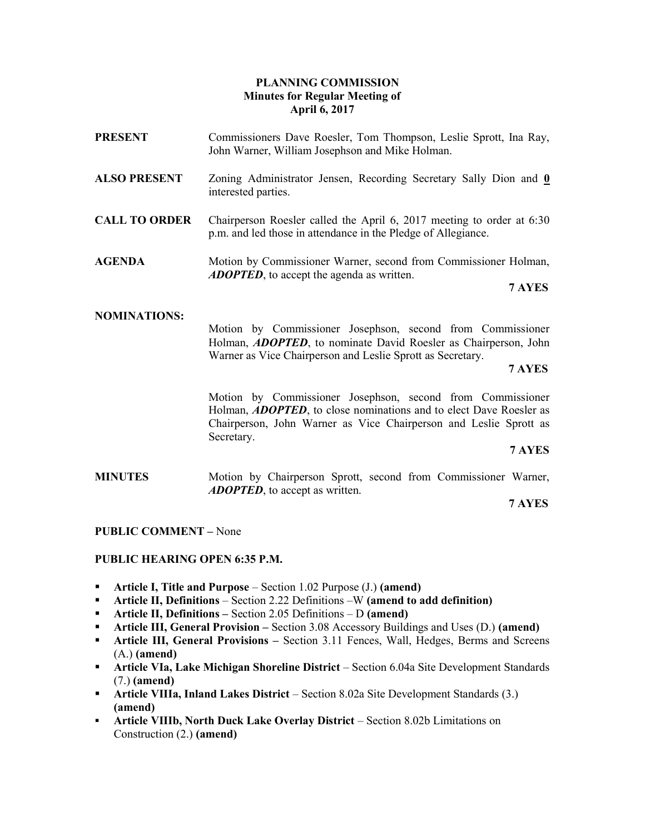# PLANNING COMMISSION Minutes for Regular Meeting of April 6, 2017

PRESENT Commissioners Dave Roesler, Tom Thompson, Leslie Sprott, Ina Ray, John Warner, William Josephson and Mike Holman. ALSO PRESENT Zoning Administrator Jensen, Recording Secretary Sally Dion and 0 interested parties. CALL TO ORDER Chairperson Roesler called the April 6, 2017 meeting to order at 6:30 p.m. and led those in attendance in the Pledge of Allegiance. AGENDA Motion by Commissioner Warner, second from Commissioner Holman, ADOPTED, to accept the agenda as written. 7 AYES

### NOMINATIONS:

Motion by Commissioner Josephson, second from Commissioner Holman, **ADOPTED**, to nominate David Roesler as Chairperson, John Warner as Vice Chairperson and Leslie Sprott as Secretary.

#### 7 AYES

Motion by Commissioner Josephson, second from Commissioner Holman, **ADOPTED**, to close nominations and to elect Dave Roesler as Chairperson, John Warner as Vice Chairperson and Leslie Sprott as Secretary.

## 7 AYES

MINUTES Motion by Chairperson Sprott, second from Commissioner Warner, ADOPTED, to accept as written.

7 AYES

#### PUBLIC COMMENT – None

#### PUBLIC HEARING OPEN 6:35 P.M.

- Article I, Title and Purpose Section 1.02 Purpose  $(J.)$  (amend)
- **•** Article II, Definitions Section 2.22 Definitions –W (amend to add definition)
- Article II, Definitions Section 2.05 Definitions D (amend)
- **Article III, General Provision** Section 3.08 Accessory Buildings and Uses (D.) (amend)
- **Article III, General Provisions** Section 3.11 Fences, Wall, Hedges, Berms and Screens (A.) (amend)
- Article VIa, Lake Michigan Shoreline District Section 6.04a Site Development Standards (7.) (amend)
- Article VIIIa, Inland Lakes District Section 8.02a Site Development Standards (3.) (amend)
- Article VIIIb, North Duck Lake Overlay District Section 8.02b Limitations on Construction (2.) (amend)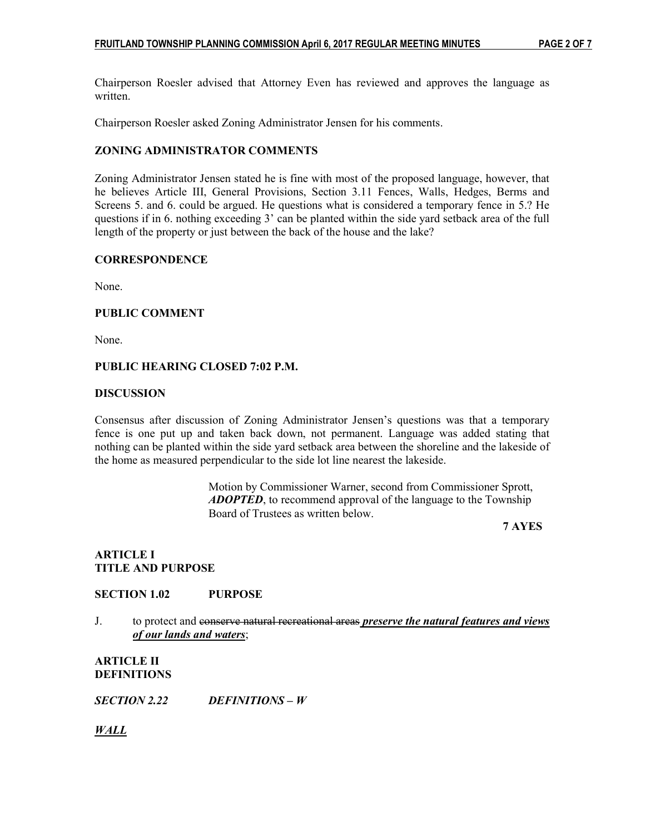Chairperson Roesler advised that Attorney Even has reviewed and approves the language as written.

Chairperson Roesler asked Zoning Administrator Jensen for his comments.

# ZONING ADMINISTRATOR COMMENTS

Zoning Administrator Jensen stated he is fine with most of the proposed language, however, that he believes Article III, General Provisions, Section 3.11 Fences, Walls, Hedges, Berms and Screens 5. and 6. could be argued. He questions what is considered a temporary fence in 5.? He questions if in 6. nothing exceeding 3' can be planted within the side yard setback area of the full length of the property or just between the back of the house and the lake?

# **CORRESPONDENCE**

None.

# PUBLIC COMMENT

None.

# PUBLIC HEARING CLOSED 7:02 P.M.

#### **DISCUSSION**

Consensus after discussion of Zoning Administrator Jensen's questions was that a temporary fence is one put up and taken back down, not permanent. Language was added stating that nothing can be planted within the side yard setback area between the shoreline and the lakeside of the home as measured perpendicular to the side lot line nearest the lakeside.

> Motion by Commissioner Warner, second from Commissioner Sprott, ADOPTED, to recommend approval of the language to the Township Board of Trustees as written below.

7 AYES

# ARTICLE I TITLE AND PURPOSE

# SECTION 1.02 PURPOSE

J. to protect and conserve natural recreational areas *preserve the natural features and views* of our lands and waters;

# ARTICLE II DEFINITIONS

SECTION 2.22 DEFINITIONS – W

WALL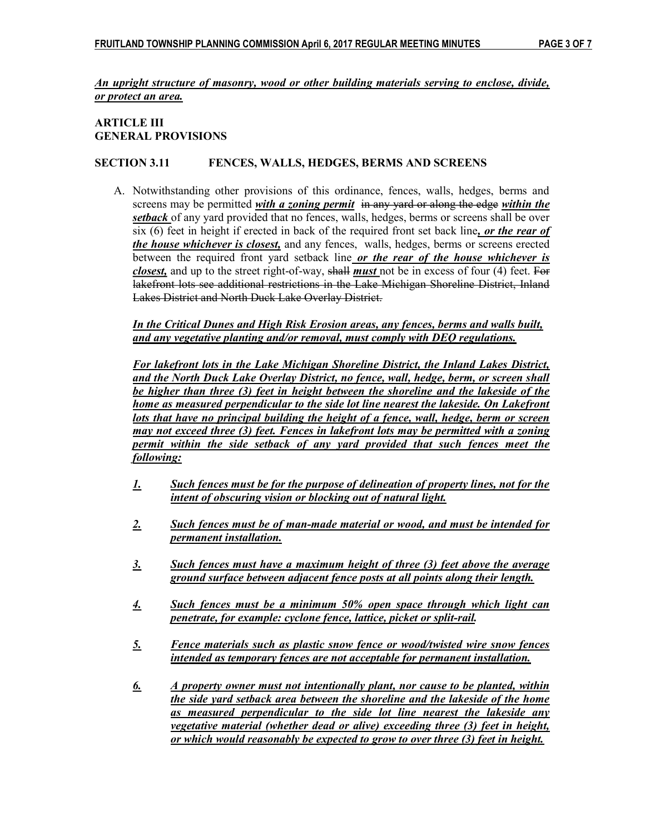# An upright structure of masonry, wood or other building materials serving to enclose, divide, or protect an area.

# ARTICLE III GENERAL PROVISIONS

# SECTION 3.11 FENCES, WALLS, HEDGES, BERMS AND SCREENS

A. Notwithstanding other provisions of this ordinance, fences, walls, hedges, berms and screens may be permitted with a zoning permit in any vard or along the edge within the setback of any yard provided that no fences, walls, hedges, berms or screens shall be over six  $(6)$  feet in height if erected in back of the required front set back line, or the rear of the house whichever is closest, and any fences, walls, hedges, berms or screens erected between the required front yard setback line or the rear of the house whichever is closest, and up to the street right-of-way, shall must not be in excess of four (4) feet. For lakefront lots see additional restrictions in the Lake Michigan Shoreline District, Inland Lakes District and North Duck Lake Overlay District.

In the Critical Dunes and High Risk Erosion areas, any fences, berms and walls built, and any vegetative planting and/or removal, must comply with DEQ regulations.

For lakefront lots in the Lake Michigan Shoreline District, the Inland Lakes District, and the North Duck Lake Overlay District, no fence, wall, hedge, berm, or screen shall be higher than three (3) feet in height between the shoreline and the lakeside of the home as measured perpendicular to the side lot line nearest the lakeside. On Lakefront lots that have no principal building the height of a fence, wall, hedge, berm or screen may not exceed three (3) feet. Fences in lakefront lots may be permitted with a zoning permit within the side setback of any yard provided that such fences meet the following:

- 1. Such fences must be for the purpose of delineation of property lines, not for the intent of obscuring vision or blocking out of natural light.
- 2. Such fences must be of man-made material or wood, and must be intended for permanent installation.
- 3. Such fences must have a maximum height of three (3) feet above the average ground surface between adjacent fence posts at all points along their length.
- 4. Such fences must be a minimum 50% open space through which light can penetrate, for example: cyclone fence, lattice, picket or split-rail.
- 5. Fence materials such as plastic snow fence or wood/twisted wire snow fences intended as temporary fences are not acceptable for permanent installation.
- 6. A property owner must not intentionally plant, nor cause to be planted, within the side yard setback area between the shoreline and the lakeside of the home as measured perpendicular to the side lot line nearest the lakeside any vegetative material (whether dead or alive) exceeding three (3) feet in height, or which would reasonably be expected to grow to over three (3) feet in height.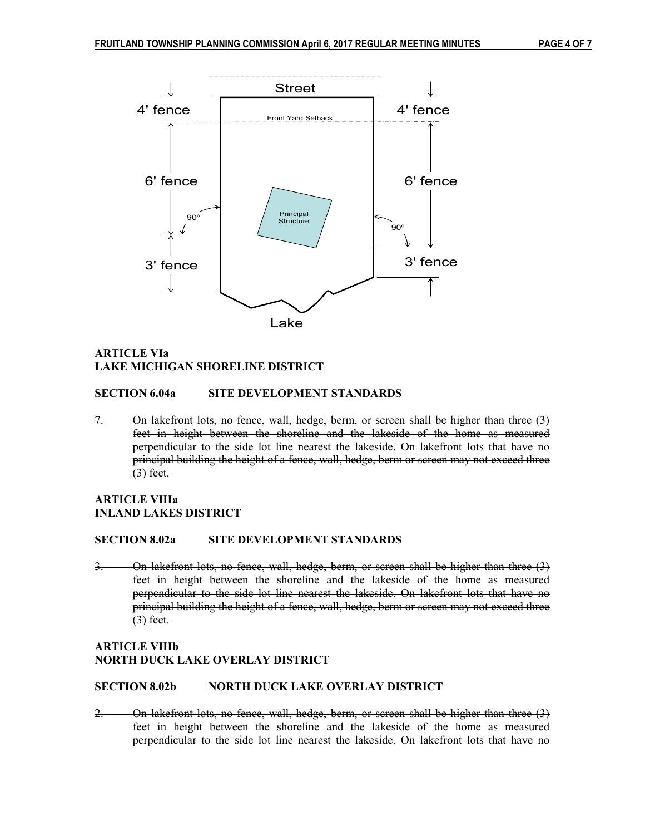

# ARTICLE VIa LAKE MICHIGAN SHORELINE DISTRICT

#### SECTION 6.04a SITE DEVELOPMENT STANDARDS

7. On lakefront lots, no fence, wall, hedge, berm, or screen shall be higher than three (3) feet in height between the shoreline and the lakeside of the home as measured perpendicular to the side lot line nearest the lakeside. On lakefront lots that have no principal building the height of a fence, wall, hedge, berm or screen may not exceed three  $(3)$  feet.

# ARTICLE VIIIa INLAND LAKES DISTRICT

#### SECTION 8.02a SITE DEVELOPMENT STANDARDS

3. On lakefront lots, no fence, wall, hedge, berm, or screen shall be higher than three (3) feet in height between the shoreline and the lakeside of the home as measured perpendicular to the side lot line nearest the lakeside. On lakefront lots that have no principal building the height of a fence, wall, hedge, berm or screen may not exceed three  $(3)$  feet.

#### ARTICLE VIIIb NORTH DUCK LAKE OVERLAY DISTRICT

### SECTION 8.02b NORTH DUCK LAKE OVERLAY DISTRICT

2. On lakefront lots, no fence, wall, hedge, berm, or screen shall be higher than three (3) feet in height between the shoreline and the lakeside of the home as measured perpendicular to the side lot line nearest the lakeside. On lakefront lots that have no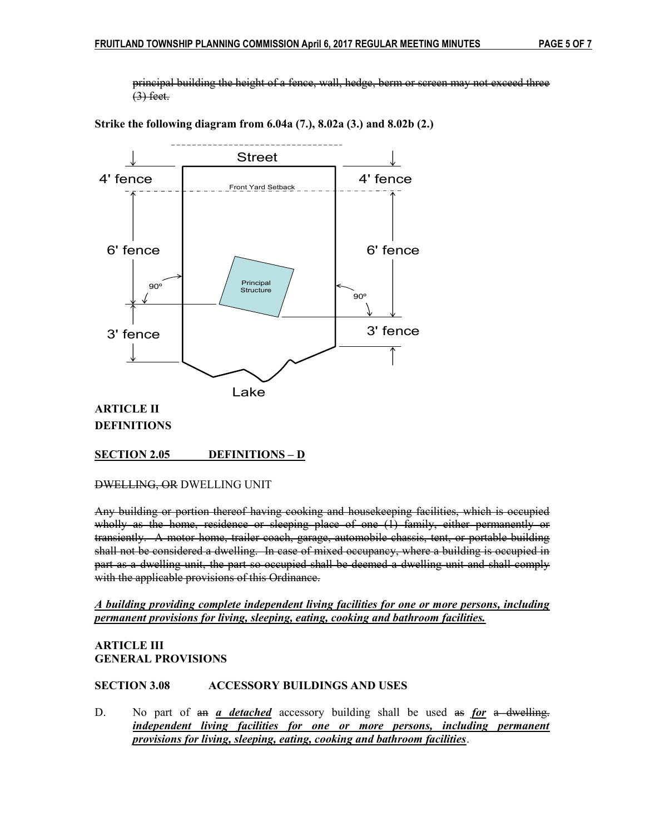principal building the height of a fence, wall, hedge, berm or screen may not exceed three  $(3)$  feet.



Strike the following diagram from 6.04a (7.), 8.02a (3.) and 8.02b (2.)

# DEFINITIONS

# SECTION 2.05 DEFINITIONS – D

DWELLING, OR DWELLING UNIT

Any building or portion thereof having cooking and housekeeping facilities, which is occupied wholly as the home, residence or sleeping place of one (1) family, either permanently or transiently. A motor home, trailer coach, garage, automobile chassis, tent, or portable building shall not be considered a dwelling. In case of mixed occupancy, where a building is occupied in part as a dwelling unit, the part so occupied shall be deemed a dwelling unit and shall comply with the applicable provisions of this Ordinance.

# A building providing complete independent living facilities for one or more persons, including permanent provisions for living, sleeping, eating, cooking and bathroom facilities.

# ARTICLE III GENERAL PROVISIONS

# SECTION 3.08 ACCESSORY BUILDINGS AND USES

D. No part of  $a_n$  *a detached* accessory building shall be used  $a_n$  *for a dwelling.* independent living facilities for one or more persons, including permanent provisions for living, sleeping, eating, cooking and bathroom facilities.